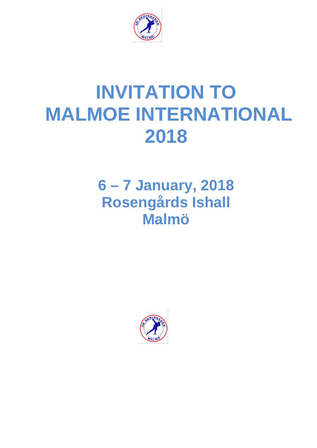

# **INVITATION TO MALMOE INTERNATIONAL 2018**

# **6 – 7 January, 2018 Rosengårds Ishall Malmö**

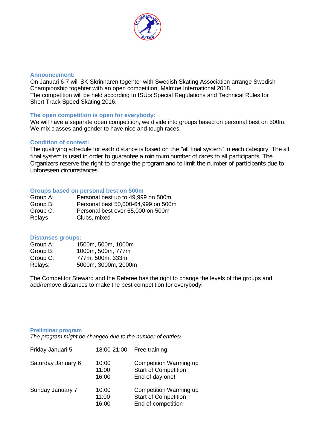

#### **Announcement:**

On Januari 6-7 will SK Skrinnaren togehter with Swedish Skating Association arrange Swedish Championship togehter with an open competition, Malmoe International 2018. The competition will be held according to ISU:s Special Regulations and Technical Rules for Short Track Speed Skating 2016.

# **The open competition is open for everybody:**

We will have a separate open competition, we divide into groups based on personal best on 500m. We mix classes and gender to have nice and tough races.

#### **Condition of contest:**

The qualifying schedule for each distance is based on the "all final system" in each category. The all final system is used in order to guarantee a minimum number of races to all participants. The Organizers reserve the right to change the program and to limit the number of participants due to unforeseen circumstances.

#### **Groups based on personal best on 500m**

| Group A: | Personal best up to 49,999 on 500m  |
|----------|-------------------------------------|
| Group B: | Personal best 50,000-64,999 on 500m |
| Group C: | Personal best over 65,000 on 500m   |
| Relays   | Clubs, mixed                        |

## **Distanses groups:**

| Group A: | 1500m, 500m, 1000m  |
|----------|---------------------|
| Group B: | 1000m, 500m, 777m   |
| Group C: | 777m, 500m, 333m    |
| Relays:  | 5000m, 3000m, 2000m |

The Competitor Steward and the Referee has the right to change the levels of the groups and add/remove distances to make the best competition for everybody!

#### **Preliminar program**

*The program might be changed due to the number of entries!*

| Friday Januari 5   | 18:00-21:00             | Free training                                                               |
|--------------------|-------------------------|-----------------------------------------------------------------------------|
| Saturday January 6 | 10:00<br>11:00<br>16:00 | Competition Warming up<br><b>Start of Competition</b><br>End of day one!    |
| Sunday January 7   | 10:00<br>11:00<br>16:00 | Competition Warming up<br><b>Start of Competition</b><br>End of competition |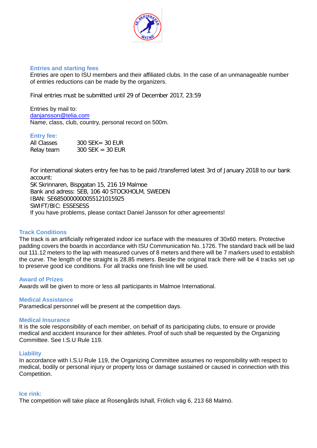

# **Entries and starting fees**

Entries are open to ISU members and their affiliated clubs. In the case of an unmanageable number of entries reductions can be made by the organizers.

Final entries must be submitted until 29 of December 2017, 23:59

Entries by mail to: [danjansson@telia.com](mailto:danjansson@telia.com) Name, class, club, country, personal record on 500m.

# **Entry fee:**

| All Classes | $300$ SEK = 30 EUR |
|-------------|--------------------|
| Relay team  | $300$ SEK = 30 EUR |

For international skaters entry fee has to be paid /transferred latest 3rd of January 2018 to our bank account:

SK Skrinnaren, Bispgatan 15, 216 19 Malmoe Bank and adress: SEB, 106 40 STOCKHOLM, SWEDEN IBAN: SE6850000000055121015925 SWIFT/BIC: ESSESESS If you have problems, please contact Daniel Jansson for other agreements!

#### **Track Conditions**

The track is an artificially refrigerated indoor ice surface with the measures of 30x60 meters. Protective padding covers the boards in accordance with ISU Communication No. 1726. The standard track will be laid out 111.12 meters to the lap with measured curves of 8 meters and there will be 7 markers used to establish the curve. The length of the straight is 28.85 meters. Beside the original track there will be 4 tracks set up to preserve good ice conditions. For all tracks one finish line will be used.

#### **Award of Prizes**

Awards will be given to more or less all participants in Malmoe International.

#### **Medical Assistance**

Paramedical personnel will be present at the competition days.

#### **Medical Insurance**

It is the sole responsibility of each member, on behalf of its participating clubs, to ensure or provide medical and accident insurance for their athletes. Proof of such shall be requested by the Organizing Committee. See I.S.U Rule 119.

#### **Liability**

In accordance with I.S.U Rule 119, the Organizing Committee assumes no responsibility with respect to medical, bodily or personal injury or property loss or damage sustained or caused in connection with this Competition.

#### **Ice rink:**

The competition will take place at Rosengårds Ishall, Frölich väg 6, 213 68 Malmö.